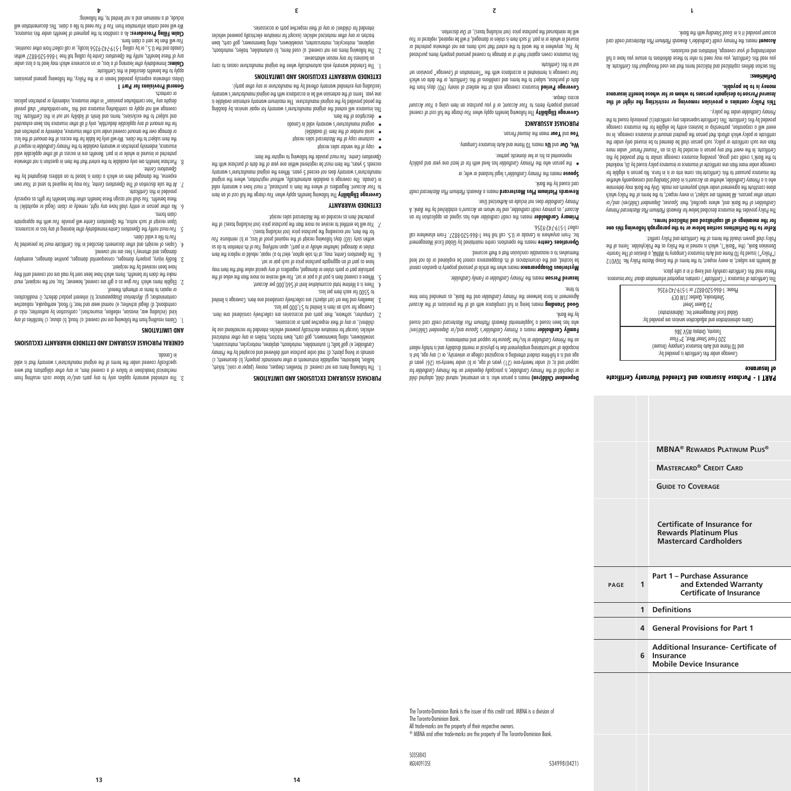**MBNA® Rewards Platinum Plus®** 

**of Insurance**

**Mastercard® Credit Card**

**Certificate of Insurance for Rewards Platinum Plus Mastercard Cardholders**

**Part 1 – Purchase Assurance** 

**4 General Provisions for Part 1**

**Mobile Device Insurance**

**1 Definitions**

**6 Insurance**

**and Extended Warranty Certificate of Insurance**

**Additional Insurance- Certificate of** 

**Guide to Coverage**

**PART I - Purchase Assurance and Extended Warranty Certificate** 

All benefits are subject, in every respect, to the terms of the Group Master Policy No. TGV012 ("Policy") issued By TD Home and Auto Insurance Company to MBNA, a division of The Toronto-Dominion Bank, (the "Bank"), which is named in the Policy as the Policyholder. Terms of the

**Refer to the Definitions section below or to the paragraph following this one** 

The Policy provides the insurance described below for Rewards Platinum Plus Mastercard Primary (ren) and/or *Spouses, Dependent Child* of the Bank and, where specified, their *Cardholders* certain other persons. All benefits are subject, in every respect, to the terms of the Policy which alone constitute the agreement under which payment are about may determine and the Bank made. who is a Primary Cardholder, whether an Account is in Good Standing and consequently whether The insurging bursuant to this *certificate* nad a come into or is in force. No person is eligible for coverage under more tentificate of insurance or insurance policy issued by Us, marketed to the Bank's credit card group, providing insurance coverage similar of that provided by this Certificate. In the event that any person is recorded by *Usang Person event Person*" under more than one such certificate or policy, such person shall be deemed of be insured only under the certificate or policy which affords that person the greatest amount of insurance coverage. In no event will a corporation, partnership or business entity be eligible for the insurance coverage provided by this *Certificate This Certificate* supersedes any certificate (s) previously issued to the

**This Policy contains a provision removing or restricting the right of the to designate persons to whom or for whose benefit insurance** *Insured Person*

This *changined* and the figure and italiant and the residence that the certificate terms that are are used the section of  $\mathbf{r}$ you read this Certificate, you may need to these definitions of ansure you have a full

credit card *Rewards Platinum Plus Mastercard* means the Primary credit Cardholder's **Account**

Coverage under this Certificate is provided by: and ID Home and Auto Insurance Company (Insurer) 320 Front Street West, 3rd Floor Toronto, Ontario M5V 3B6 Claims administration and adjudication services are provided by: Global Excel Management Inc. (Administrator) 73 Queen Street Sherbrooke, Quebec J1M 0C9 Phone: 1-866-520-8827 or 1-519-742-9356 This Certificate of Insurance (" Certificate") contains inportant information about *Your* using the

Please read this Certificate carefully and keep it in a safe place.

Folicy shall govern should the terms of the *Lermicate* and Folicy conflict.

**for the meanings of all capitalized and italicized terms.**

under the policy.. *Primary Cardholder*

understanding of your coverage, limitations and exclusions.

who account bubang provide a state provided in the Bank.

**money is to be payable.**

**Definitions:**

**page 1**

® MBNA and other trade-marks are the property of The Toronto-Dominion Bank.

MGU409135F 534998(0421)

The Toronto-Dominion Bank. All trade-marks are the property of their respective owners.

The Toronto-Dominion Bank is the issuer of this credit card. MBNA is a division of

50358843

on the Primary Cardholder or his/her *Spouse* to have and maintenance. **Pamily Cardholder** means a Primary Cardholder's Spouse and/or Dependent Child(ren) credit cared a peers of phenomental Rewards Plantinum Platinum as a supplemental who has been in the by the Bank.

*Account Beoulume* means being in full compliance with all of the provisions of the Account Agreement in force between the *Primary Cardholder* and the Bank, as and the and from time

mysterious Disappearance means when the article of personal property in question cannot be located, and the circumstances of its disappearance cannot be explained or do not lend

**Operations Centre** means the operations centre maintained by Global Excel Management Ilp. enerwhere in Canada or U.S. call the 1-666-520-8827. From elsewhere call

**Frimary Cardholder** means the credit cardholder who has signed an application for an A crount, as pinnary credit cardholder, and hay no mome in *Account* is established by the *Bank*. A

credit *Rewards Platinum Plus Mastercard* means a **Rewards Platinum Plus Mastercard**

bilduq bno neey eno teast one hived with for and personal publicly

Coverage Eligibility The following benefits apply when You charge the full cost of covered Persoug bubbeut items to Your Account, or if you purchase an item using a Your Account

Coverage Period Insurance coverage ends at the earliest of ninety (90) days from the the date of purchase, subject to the tems and conditions of the Certificate, or the date on which coverage is terminated in accordance with the "Termination of Coverage" provision set *Your*

This insurance covers against theft of or damage to covered personal property items purchased by You, anywhere in the world to the extent that such items are not otherwise protected or *You* in whole or in part. If such item is stolen or damaged, it will be repaired, replaced or You

will be reimbursed the purchase price (not including taxes), at *Our* discretion.

*Family Person means the Primary Cardholder* or *Family Cardholder*.

themselves to a reasonable conclusion that a thems a thems

does not include an Authorized User. *Primary Cardholder*

represented as his or her domestic partner.

. *Insured Person* mean the **Your** and **You PURCHASE ASSURANCE**

**Spouse** means the *Primary Cardholder's* legal husband or wife; or

We, Our and Us means TD Home and Auto Insurance Company.

to time.

collect 1-519-742-9356.

card issued by the Bank.

access cuedne.

out in this certificate.

Dependent Child(ren) means a person who: is an unnaminal partial child, adopted child for *Primary Cardholder* ; is principally dependent on the *Primary Cardholder* or stepchild of the support and is; a) under twenty-one (21) years of age, or b) under twenty-six (26) years of age and is a full-time student attending a recognized college or university, or c) any age, but is incapable of self-sustaining employment due to physical or mental disability and is totally reliant

children), or any of their respective parts or accessories. Computers, software, their parts and accessories are collectively considered one item. 2. Coverage for such an item is limited to \$1,000 per loss.

The following items are not covered: a) travellers chedues, money (paper or coin), tickets, bullion, banknotes, negotiable instruments or other numismatic property; b) documents; c) animals or living plants; d) mail order purchase until delivered and accepted by the Primary ; e) golf balls; f) automobiles, motorboats, airplanes, motorcycles, motorscooters, *Cardholder* snowblowers, riding lawnmowers, golf carts, lawn tractors, trailers or any other motorized vehicles (except for miniature electrically powered vehicles intended for recreational use by

Jewellery and fine art (art objects) are collectively considered one item. Coverage is limited 3.

5. Where a covered item is part of a pair or set, You will receive no more than the value of the particular part or parts stolen or damaged, regardless of any special value that the item may

6. The *Operations cantre, may, at its sole option, elect to a) repair, rebuild or replace the item* or ob of nothreater its in our going or and yipon or or or any on a rise or or or or or or or or or or or or or within sixty (60) days following receipt of the required proof of loss; or b) reimburse You

will be entitled to receive no more than the purchase price (not including taxes) of the *You 7.*

Coverage Eligibility The following benefits apply when You charge the full cost of an item to Your Account. Regardless of where the item is purchased, it must have a warranty valid in Canada. The coverage is available automatically, without registration, where the original manufacturer's warranty does not exceed 5 years. Where the original manufacturer's warranty exceeds  $\epsilon$  years, the item must be registered within one year of the date of purchase with the

#### **PURCHASE ASSURANCE EXCLUSIONS AND LIMITATIONS**

4. There is a lifetime total accumulating bitcount.

have as part of an aggregate purchase price of such pair or set.

for the item, not exceeding the purchase price (not including taxes).

protected item as recorded on the Mastercard sales receipt.

must provide the following to register the item: *You* . *Operations Centre*

**EXTENDED WARRANTY EXCLUSIONS AND LIMITATIONS**

intended for children) or any of their respective parts or accessories.

on business for any reason whatsoever.

The Extended warranty ends automatically when the original manufacturer ceases to carry

The following items are not covered: a) used items, b) automobiles, trailers, motorboats, 2. airplanes, motorcycles, motorscooters, snowblowers, riding lawnmowers, golf carts, lawn tractors or any other motorized vehicles (except for miniature electrically powered vehicles

to \$500 for each item per loss.

**EXTENDED WARRANTY**

o copy of the vendor sales receipt customer copy of the Mastercard sales receipt • serial number of the item (if available) •

o description of the item.

 to file a valid claim. *You* immediately after learning of any loss or occurrence. *Operations Centre* must notify the *You 5.* Upon receipt of such notice, the *Operations* Centre will provide You with the appropriate claim rouns. ot (eldotiupe to logel) miolo to ybemet their ynn evon llon's ytitne to nozteq terfto old . d fitese benefits. You shall not assign these benefits other than benefits for gifts as expressly provided in this *Certificate*.

7. At the sole discretion of The *Operations* Centre, *Atomas at operations* of the *Your* own expense, the domaged item on which a claim is based to an address designated by the

damages and attorney's fees are not covered. 4. Copies of receipts and other documents described in this Certificate must be presented by

have been received by the recipient. 3. Bodily injury, property damages, consequential damages, punitive damages, exemplary

2. Eligible items which You give as a gift are covered, however; You, not the recipient, must make the claim for benefits. Items which have been sent by mail are not covered until they

contamination; g) *Mysterious Disappearance; h*) inherent product defects; i) modifications or repairs to items or attempts thereof.

kind (including war, invasion, rebellion, insurrection), confiscation by authorities; risks of contraband; d) illegal activities; e) normal wear and tear; f) flood, earthquake, radioactive

**AND LIMITATIONS** Claims resulting from the following are not covered: a) fraud; b) abuse; c) hostilities of any 1.

## **GENERAL PURCHASE ASSURANCE AND EXTENDED WARRANTY EXCLUSIONS**

**13 14**

3. The extended warranty applies only to any parts and/or labour costs resulting from mechanical breakdown or failure of a covered item, or any other obligations that were specifically covered under the terms of the original manufacturer's warranty that is valid in Canada.

Canada and the U.S., or by calling 1-510-742-9356 locally, or call collect from other countries. will then be sent a claim form. *You*

## **Claims:** Notice and a learning of a loss, or an occurrence which way lead to a loss using the about the magnetic whole by cap benefits' output free 1-866 portations centre por these 1-866-520-8021 within *CRSS*

Unless otherwise expressly provided herein or in the Policy, the following general provisions

#### **General Provisions for Part 1**

. *Operations Centre* Purchase benefits are only available to the extent that the item in question is not otherwise 8. protected or insured in whole or in part. Benefits are in excess of all other applicable valid insurance, indemnity protection or warranty available to the Primary Cardholder in respect of we use the item of the excess of the origin to the excess of the amount of the loss *teol* of the loss  $\mu$ or damage over the amount covered under such other insurance, indemnity or protection and for the amount of any applicable deductible, only if all other insurance has been exhausted aidT and stubilize a subset to the extension and subject to the extitute of and subject this set of the extent coverage will not apply as contributing insurance and this "non-contribution" shall prevail despite any "non contribution provision" in other insurance, indemnity or protection policies

# apply to the benefits described in this Leriticate:

(excluding any extended warranty offered by the manufacturer or any other party).

original manufacturer's warranty valid in Canada • This insurance will extend the original manufacturer's warranty for repair services by doubling the period provided by the original manufacturer. The maximum warranty extension available is one year. Terms of the extension will be in accordance with the original manufacturer's warranty or contracts.

**Claim Filing Procedures:** As a condition to the payment of benefits under this insurance,

We will need certain intertional and *You* has a claim of the read of *Humanophia* information will

**4 3 2 1** include, at a minimum and is not limited to, the following: